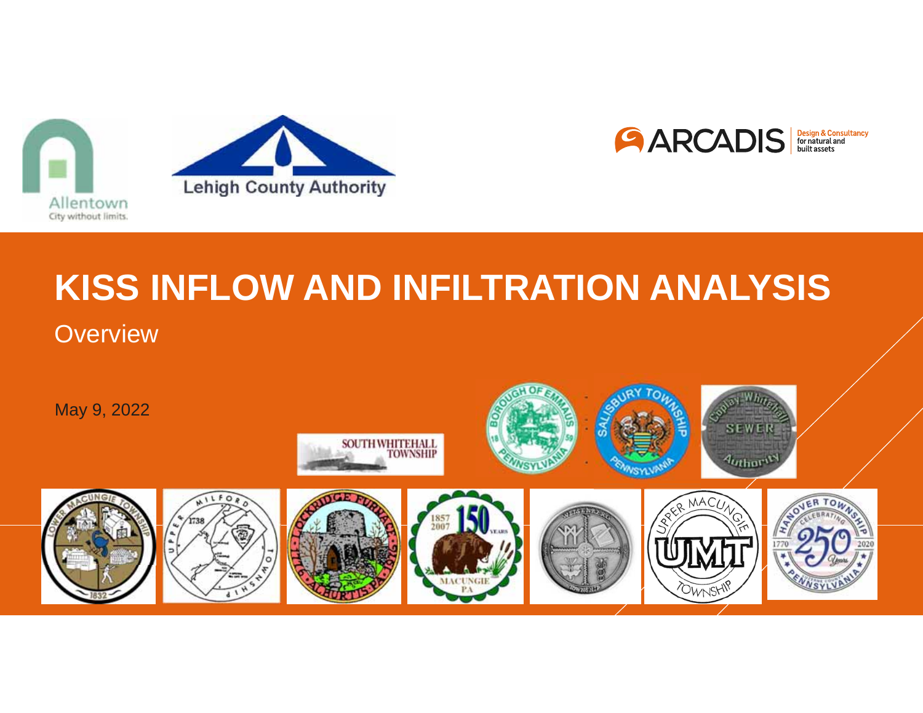





# **KISS INFLOW AND INFILTRATION ANALYSIS**

**Overview** 

May 9, 2022

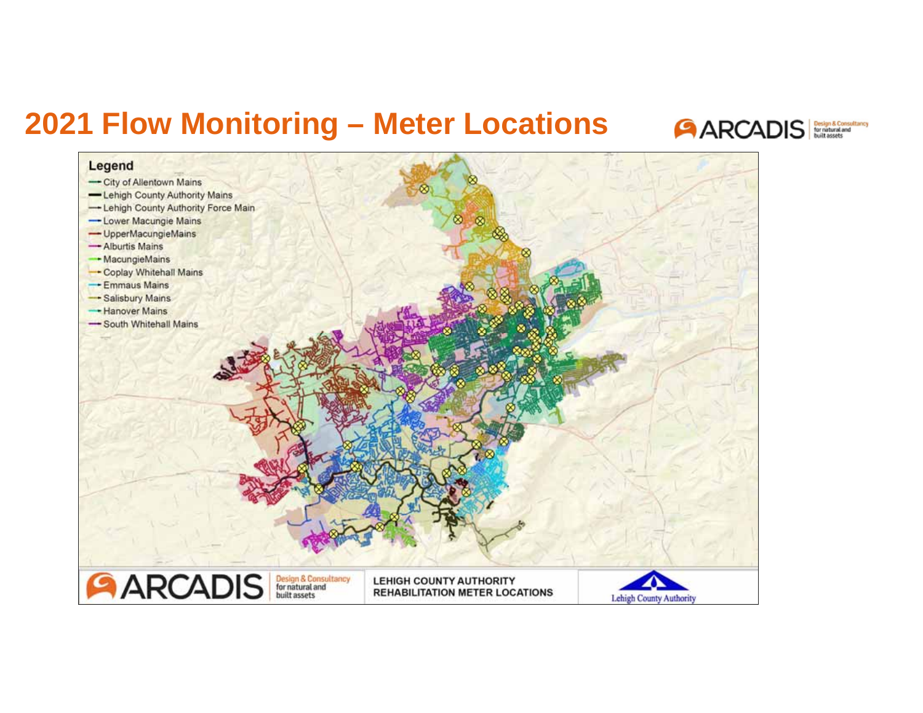### **2021 Flow Monitoring - Meter Locations**



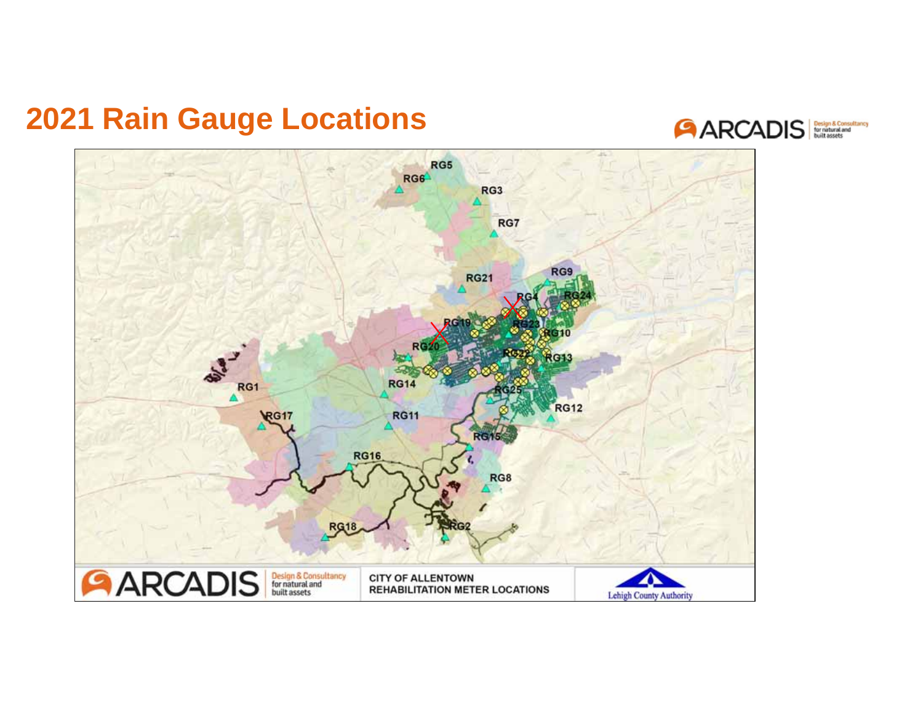### **2021 Rain Gauge Locations**



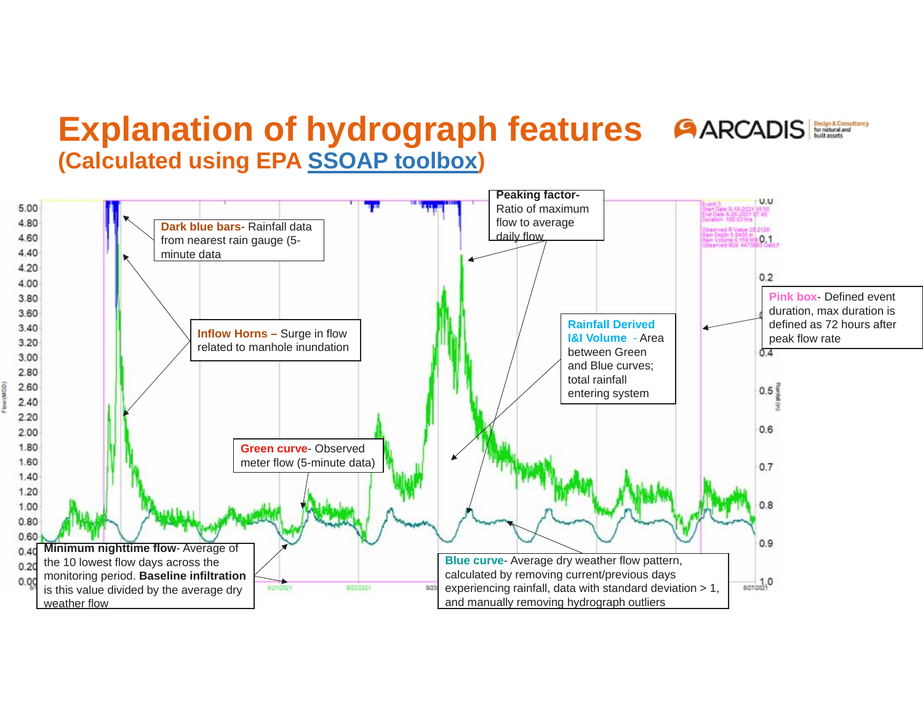### **Explanation of hydrograph features AARCADIS (Calculated using EPA SSOAP toolbox )**

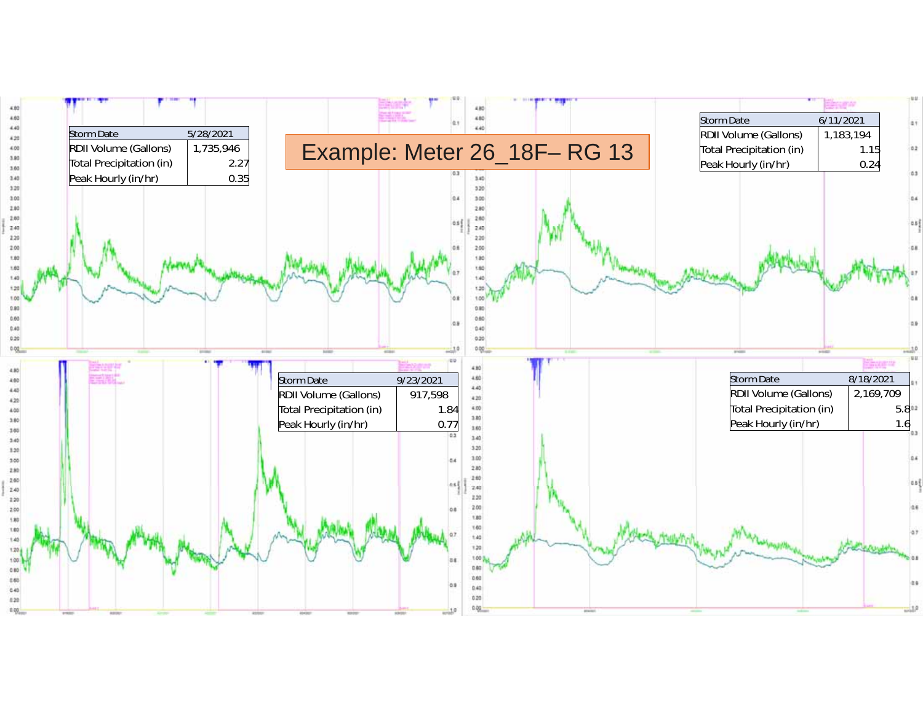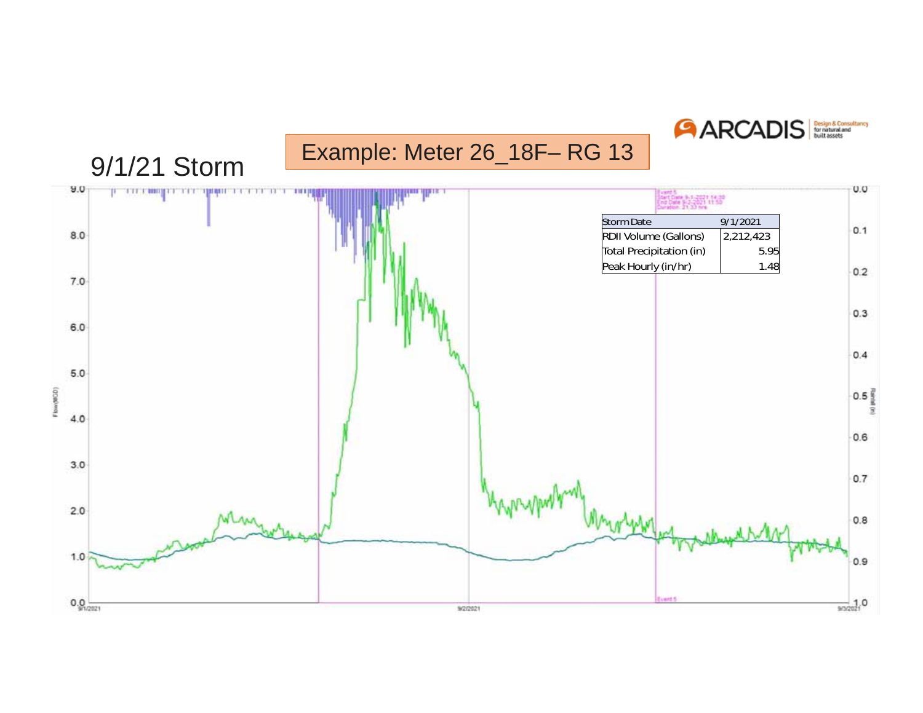**ARCADIS** 

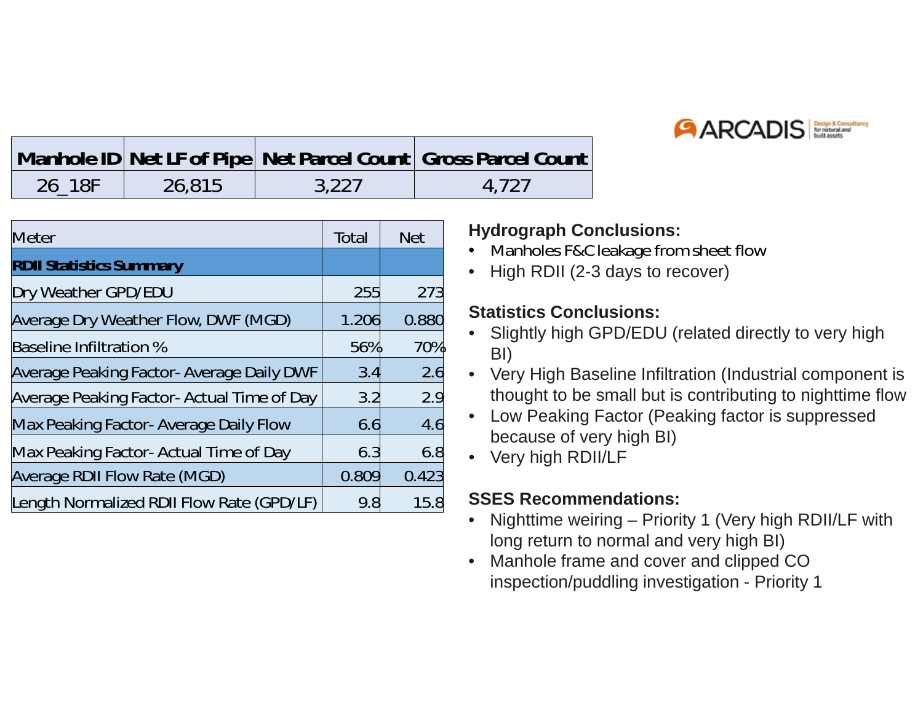

|        |        |       | Manhole ID Net LF of Pipe Net Parcel Count Gross Parcel Count |
|--------|--------|-------|---------------------------------------------------------------|
| 26 18F | 26,815 | 3,227 | 4.727                                                         |

| <b>Meter</b>                               | Total | <b>Net</b> |
|--------------------------------------------|-------|------------|
| <b>RDII Statistics Summary</b>             |       |            |
| Dry Weather GPD/EDU                        | 255   | 273        |
| Average Dry Weather Flow, DWF (MGD)        | 1.206 | 0.880      |
| <b>Baseline Infiltration %</b>             | 56%   | 70%        |
| Average Peaking Factor- Average Daily DWF  | 3.4   | 2.6        |
| Average Peaking Factor- Actual Time of Day | 3.2   | 2.9        |
| Max Peaking Factor- Average Daily Flow     | 6.6   | 4.6        |
| Max Peaking Factor- Actual Time of Day     | 6.3   | 6.8        |
| Average RDII Flow Rate (MGD)               | 0.809 | 0.423      |
| Length Normalized RDII Flow Rate (GPD/LF)  | 9.8   | 15.8       |

#### **Hydrograph Conclusions:**

- Manholes F&C leakage from sheet flow
- High RDII (2-3 days to recover)

#### **Statistics Conclusions:**

- Slightly high GPD/EDU (related directly to very high BI)
- Very High Baseline Infiltration (Industrial component is thought to be small but is contributing to nighttime flow
- Low Peaking Factor (Peaking factor is suppressed because of very high BI)
- Very high RDII/LF

#### **SSES Recommendations:**

- Nighttime weiring Priority 1 (Very high RDII/LF with long return to normal and very high BI)
- Manhole frame and cover and clipped CO inspection/puddling investigation - Priority 1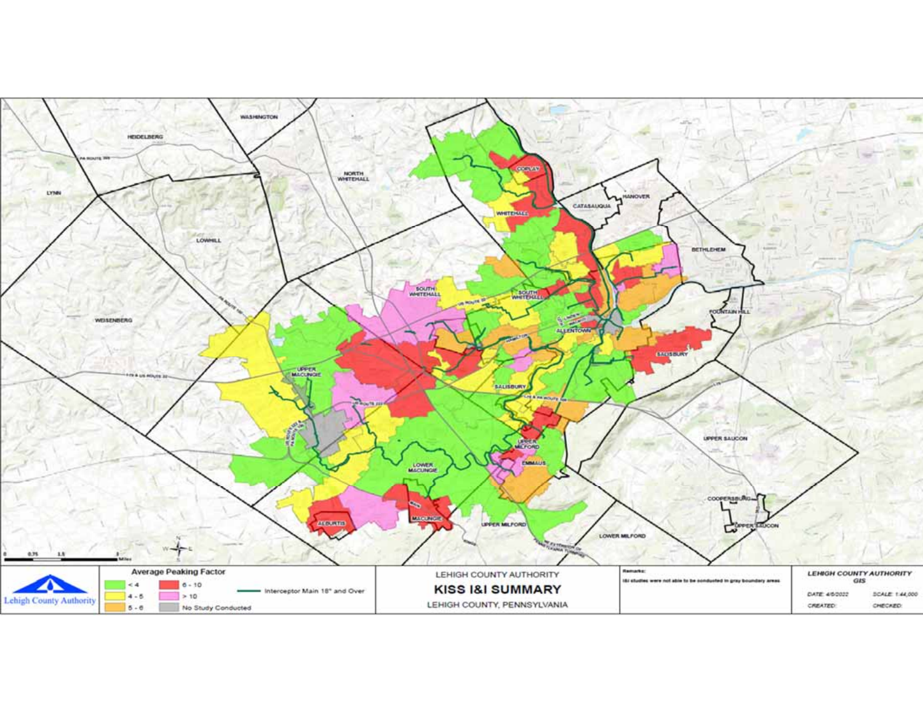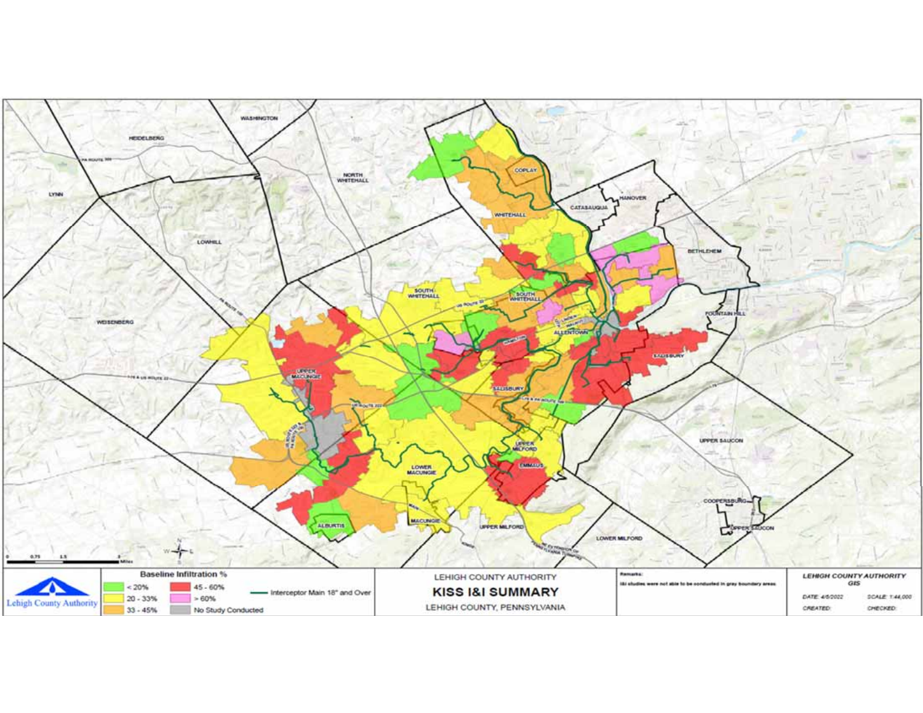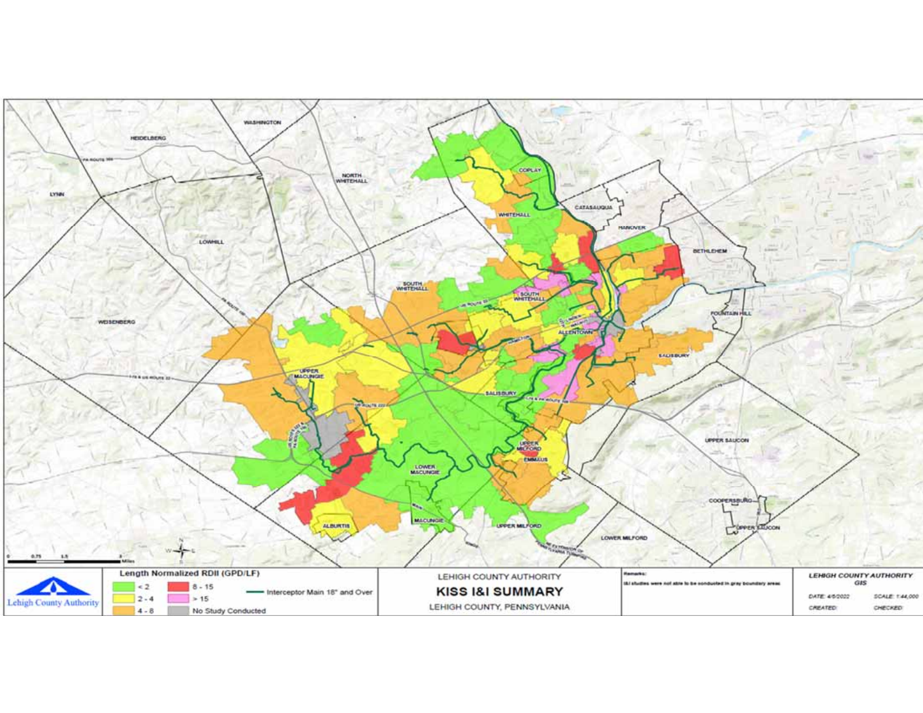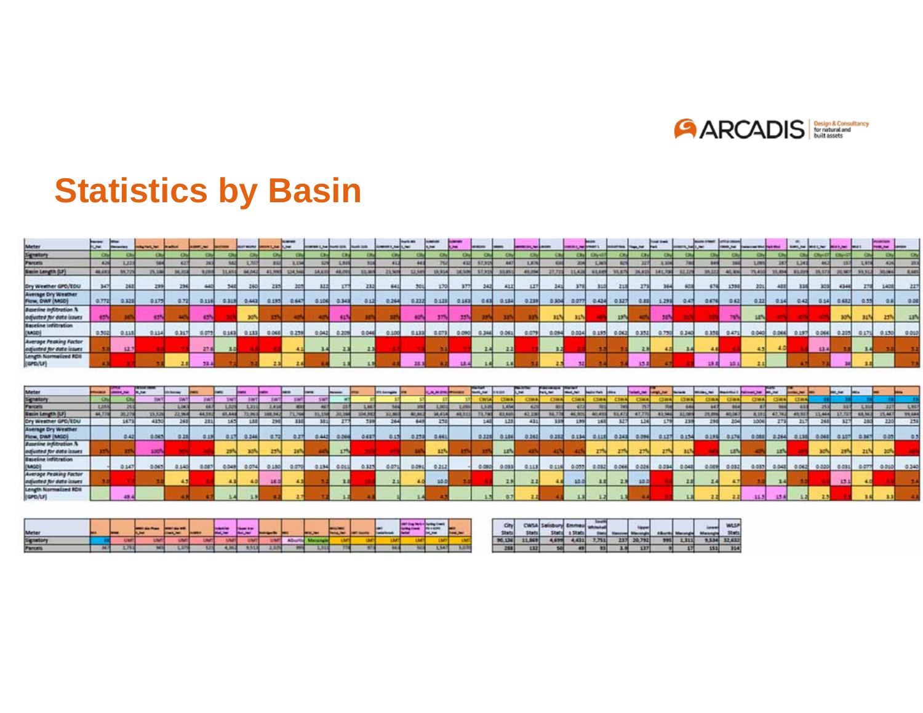

## **Statistics by Basin**

|                                                            | F          | <b>Selection</b> | <b>Hally Ford, Not</b> | <b>Righted</b> |              |        | <b>BASE MORE</b> | <b>MARINE R. PARK</b> | <b>School</b><br><b>CHE</b> | contrast Line Double (US). |             | <b>Parenth List By</b> | <b>SHERRY AND LINE</b> | 19419-008 | $\cdots$<br><b>RAME</b> | -<br>$\overline{a}$ | <b>MAGAIN</b>  |               | prestorate, but a month |                 | <b>DESCRIPTION</b> |              |               | <b>WALTER</b> | <b>Total State</b> | ASSESSED.      | <b>North Street</b> | office cannot<br><b>Book Fall</b> | attactment Word Brack What |        | <b>NIMIL, NA</b> | MISSION!   | 10013-002     |              | <b>MARK</b> |             |
|------------------------------------------------------------|------------|------------------|------------------------|----------------|--------------|--------|------------------|-----------------------|-----------------------------|----------------------------|-------------|------------------------|------------------------|-----------|-------------------------|---------------------|----------------|---------------|-------------------------|-----------------|--------------------|--------------|---------------|---------------|--------------------|----------------|---------------------|-----------------------------------|----------------------------|--------|------------------|------------|---------------|--------------|-------------|-------------|
|                                                            | œ          |                  |                        |                |              |        |                  |                       |                             |                            |             |                        |                        |           |                         |                     |                |               |                         |                 | C.Nul              | <b>City</b>  |               |               |                    |                |                     |                                   |                            |        |                  | Client     | (Citizen)     |              |             |             |
| Meter<br>Signatory<br>Parcels                              |            | 1,32             |                        |                |              |        |                  |                       |                             |                            | 工程          |                        |                        | 441       |                         |                     | 87.91          | 847           | 1,876                   |                 |                    | <b>EM</b>    |               |               |                    |                |                     |                                   | 3,009                      |        | 1,341            |            |               | <b>LNN</b>   |             | 383         |
| Basin Length (UF)                                          | 48,683     | 56.7             |                        |                |              | 31,651 | 34.043           | At ward               | 1214,548                    | 14,833                     | 148.8       | 35,365                 | 25,509                 | 12,545    | 15,554                  | 38,506              | \$7.92         | 33, 853       | <b>AS DSA</b>           | 27.72           | 11,439             | <b>KSAPR</b> | <b>35.879</b> | 26.8          | 141,700            | 193,32         | 39, 22              | 41.8%                             | 75,410                     |        | 83,099           | 35.37      | 2016          | 58322        | 190,000     | <b>RAPS</b> |
| Ory Westher GPO/EDU                                        | 3475       | 262              | 299                    | 294            |              |        | 260              | 235                   |                             | 333                        | IT.         | <b>TEL</b>             | 641                    | 301       | 170                     |                     | 3425           | 411           | ш                       | 241             | 370                | 310          | 211           | 273           | 364                | 401            | 676                 | 1380                              | 201                        |        | 111              | 303        | 4344          |              |             | 227         |
| <b>Average Cry Westher</b><br>Flow, DWF (MIGD)             | 0.772      | 211              | 0177                   | 0.72           | 0.116        | 0.313  | 0.443            | 0.185                 | $-641$                      |                            | 0.106 0.348 | 011                    | 0.264                  | 53325     | 0.128                   | 0.163               |                | 063 0154      | 0.139                   | 0304            | $-0.077$           |              | 0.424 0.327   | <b>CATEL</b>  | 1.29%              | $-0.47$        | 0.676               | 0.62                              | 0.22                       | 0.14   | 0.43             | 0.54       | 0.612         | 0.55         |             | 0.00        |
| <b>Baseline Infiltration N</b><br>edjusted for data issues |            |                  |                        |                | 43%          |        | 30%              |                       |                             |                            | <b>AT</b>   |                        |                        |           |                         |                     |                |               |                         | ш               |                    |              | 15%           |               | 345                |                |                     | w                                 | 14%                        |        |                  |            |               |              |             | 13h         |
| <b>Baseline Infiltration</b><br>(MAGD)                     | 0.502      | 0.118            | 0.114                  | 0.317          | 0.075        | 0.1630 | 0.133            | 0.068                 | 0.259                       | 0.042                      | 0.209       | 0.044                  | 0.100                  | 0.133     | 0.073                   | 0.090               | 0.346          | 0.061         | 0.079                   | 0.094           | 0.024              | 0.195        | 0.062         | 0.352         | 0.750              | 0.340          | 0.358               | 0.471                             | 0.040                      | 0.066  | 0.197            | 0.066      | 0.205         | 0.171        | 0.150       | 0.010       |
| <b>Average Peaking Factor</b><br>edjusted for date issues  |            | 12.7             |                        |                | 27.8         | 3.0    |                  |                       |                             | 14                         |             |                        |                        |           |                         |                     | $-2.4$         | 2.2           |                         | т               |                    |              |               | ЕD            |                    |                |                     |                                   | 45                         | 40     |                  | 13.4       |               |              |             |             |
| Length Normalized RDII<br>(GPD/LF)                         |            |                  |                        |                |              |        |                  |                       |                             |                            |             |                        |                        |           |                         |                     |                |               |                         |                 |                    |              |               |               |                    |                |                     |                                   |                            |        |                  |            |               |              |             |             |
|                                                            |            |                  |                        |                |              |        |                  |                       |                             |                            |             |                        |                        |           |                         |                     |                |               |                         |                 |                    |              |               |               |                    |                |                     |                                   |                            |        |                  |            |               |              |             |             |
| Meter<br>Signatory<br>Faccets                              |            | سرمسد            | $\overline{a}$         |                |              |        |                  |                       |                             |                            |             |                        |                        |           | ويورس                   |                     | <b>MARLANE</b> |               | <b>Not</b>              | <b>Park Net</b> | <b>Mark State</b>  |              |               | <b>MARCH</b>  |                    | <b>Service</b> |                     |                                   |                            |        |                  |            | <b>ME SAL</b> |              |             |             |
|                                                            |            |                  | <b>SM</b>              | SW1            |              |        |                  |                       |                             |                            |             |                        |                        |           |                         |                     | <b>CWS</b>     | $C1 = 1$      | <b>CINA</b>             |                 |                    |              |               | <b>COMMA</b>  |                    |                | <b>CONA</b>         | <b>Chile al</b>                   | CIWA                       |        |                  |            |               |              |             |             |
|                                                            | <b>LES</b> |                  |                        | 3, 34.3        |              |        | 3,317            | 2,414                 |                             |                            |             |                        |                        |           |                         |                     | 150            | 1,4%          | 42                      |                 |                    |              |               |               |                    |                |                     |                                   |                            |        |                  |            |               |              |             | L837        |
| <b>Basin Longth (UF)</b>                                   | 44,778     | 20.2             | 25,526                 | 2216.0         | <b>AA392</b> | 65,642 |                  | 719416 148,942        | <b>71,766</b>               | 21,158                     | 1,30,364    | 104,942                | 32,867                 | 41,842    | <b>MAIN</b>             | 48,811              | 73,743         | <b>R3.645</b> | $-42,330$               | 36,776          | 46,920             | 80,495       | 83,472        | 47,770        | 43,566             | 12,089         | 21,819              | 40.047                            | A.191                      | 47,742 | 49,917           | 11,444     | 13,72         | <b>ARMOR</b> | 15, 847     | 99.664      |
| Ory Westner GPO/EDU                                        |            | 347              | 4350                   | 261            | 281          | 1828   | 188              | 296                   | ш                           | 181                        |             | 339                    | 264                    | 648       | 258                     |                     | 148            | 128           | 431                     | 335             | 139                |              | ИJ            | 126           |                    | $-131$         | 230                 | 204                               | 1006                       | 279    | 217              | 265        | w             |              |             | 259         |
| <b>Average Dry Weather</b><br>Flow, DWF (MGC)              |            | 0.42             | 0.045                  | 0.22           | 0.13         | 0.175  | 0.246            | 京都                    | 0.27                        | 0.442                      | $-0.064$    | 0.637                  | 0.15                   | 0.231     | 0.661                   |                     | 0.128          | 0.186         | 0.262                   | 0.282           | 0.134              | 0118         | 0.243         | 0.011         | $-0.137$           | 0.134          | 0.191               | 0.176                             | o ossi                     | 0.264  | 0.134            | 0.041      | 0.107         | 0.347        | 0.05        | 63          |
| <b>Baseline Indianation N</b><br>ediusted for data issues  |            |                  | sach                   |                |              | 29N    | <b>TOM</b>       | 22 <sup>3</sup>       | 26%                         |                            | 17%         |                        |                        |           | 32%                     |                     |                | 12%           |                         |                 |                    |              |               |               | <b>Z7N</b>         | <b>HA</b>      |                     | 1EN                               |                            | 11%    |                  | <b>BON</b> |               |              | 20%         |             |
| <b>Baseline Infiltration</b><br>(MGD)                      |            | 0.147            | 0.065                  | 0.140          | 0.087        | 0.0496 | 0.074            | 0.180                 | 0.070                       | 0.134                      | ODEL        | 0.327                  | 0.071                  | 0.091     | 0.21.2                  |                     | 0.080          | 0.093         | 0.113                   | 0.114           | 0.055              | 0.052        | 0.066         | 0.026         | 0.054              | 0.048          | 0.0019              | 0.032                             | 0.082                      | 0.048  | 0.042            | 0.020      | 0.031         | 0.077        | $-0.010$    | 0.340       |
| <b>Average Peaking Factor</b><br>edjusted for data issues  |            |                  |                        | 43             |              |        |                  | 16.0                  |                             |                            |             |                        |                        | 40.01     | 10.0                    |                     |                | 23            | 22                      |                 | 10.0               |              | 2.8           | $-10.0$       |                    |                |                     | 41                                |                            |        |                  |            | 13.1          |              |             |             |
| Length Normalized RDS<br>(GPD/LF)                          |            |                  |                        |                |              |        |                  |                       |                             |                            |             |                        |                        |           |                         |                     |                |               |                         |                 |                    |              |               |               |                    |                |                     |                                   |                            |        |                  |            |               |              |             |             |

| Meter    |       |  |  |  |  |  |  | <b>BRUN</b>    |  | City  |       |       |       |      |              |   |     | <b>WASP</b><br>Stats: |
|----------|-------|--|--|--|--|--|--|----------------|--|-------|-------|-------|-------|------|--------------|---|-----|-----------------------|
| Signato  |       |  |  |  |  |  |  |                |  | 90.13 | 4.635 | 4,431 | 7,751 | 2378 | <b>STARS</b> | ш |     | 9,534 32,632          |
| Parcella | 16.75 |  |  |  |  |  |  | <b>L. Suit</b> |  |       |       |       |       | 1.16 | œ            |   | 151 | 324                   |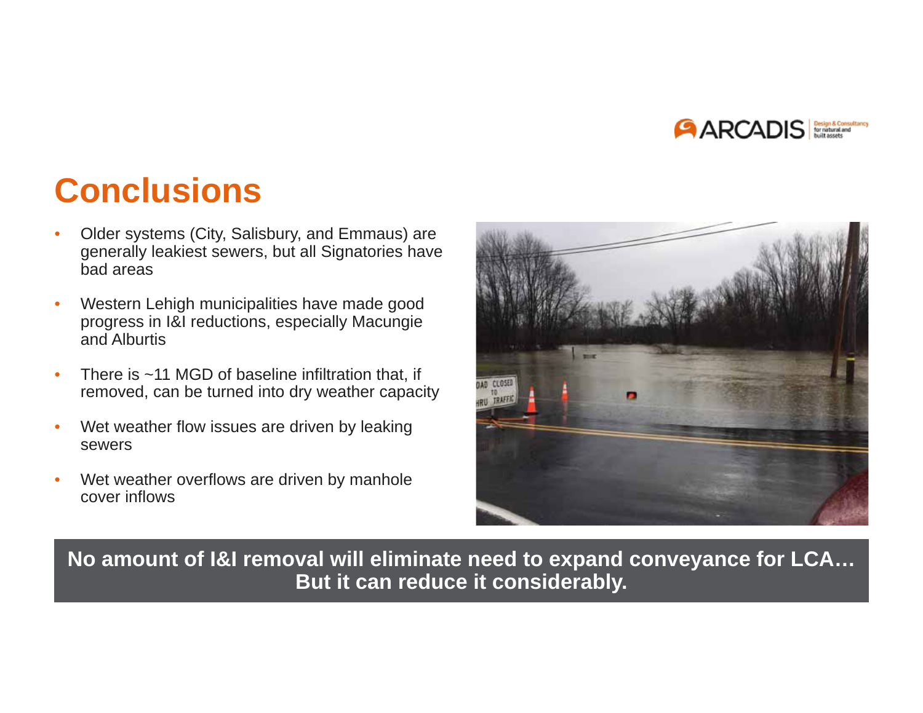

## **Conclusions**

- • Older systems (City, Salisbury, and Emmaus) are generally leakiest sewers, but all Signatories have bad areas
- • Western Lehigh municipalities have made good progress in I&I reductions, especially Macungie and Alburtis
- • There is ~11 MGD of baseline infiltration that, if removed, can be turned into dry weather capacity
- • Wet weather flow issues are driven by leaking sewers
- • Wet weather overflows are driven by manhole cover inflows



**No amount of I&I removal will eliminate need to expand conveyance for LCA… But it can reduce it considerably.**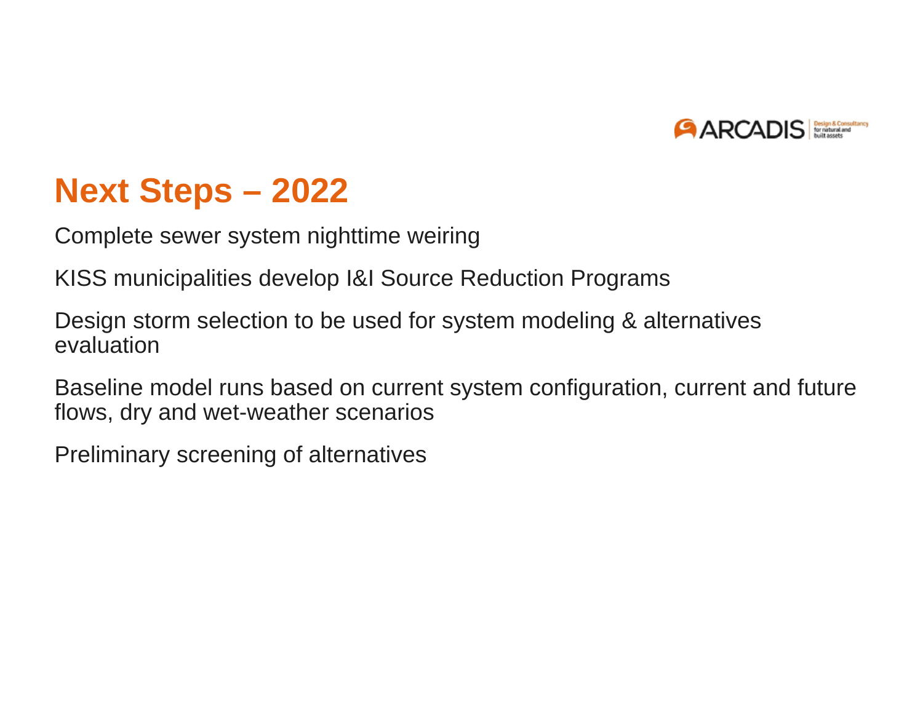

## **Next Steps – 2022**

Complete sewer system nighttime weiring

KISS municipalities develop I&I Source Reduction Programs

Design storm selection to be used for system modeling & alternatives evaluation

Baseline model runs based on current system configuration, current and future flows, dry and wet-weather scenarios

Preliminary screening of alternatives